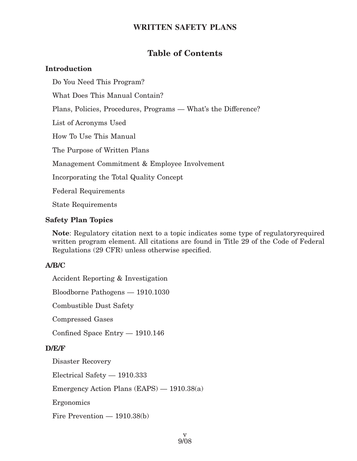## **Table of Contents**

## **Introduction**

Do You Need This Program?

What Does This Manual Contain?

Plans, Policies, Procedures, Programs — What's the Difference?

List of Acronyms Used

How To Use This Manual

The Purpose of Written Plans

Management Commitment & Employee Involvement

Incorporating the Total Quality Concept

Federal Requirements

State Requirements

## **Safety Plan Topics**

**Note**: Regulatory citation next to a topic indicates some type of regulatoryrequired written program element. All citations are found in Title 29 of the Code of Federal Regulations (29 CFR) unless otherwise specified.

## **A/B/C**

Accident Reporting & Investigation Bloodborne Pathogens — 1910.1030 Combustible Dust Safety Compressed Gases Confined Space Entry — 1910.146 **D/E/F** Disaster Recovery Electrical Safety — 1910.333 Emergency Action Plans (EAPS) — 1910.38(a) Ergonomics Fire Prevention — 1910.38(b)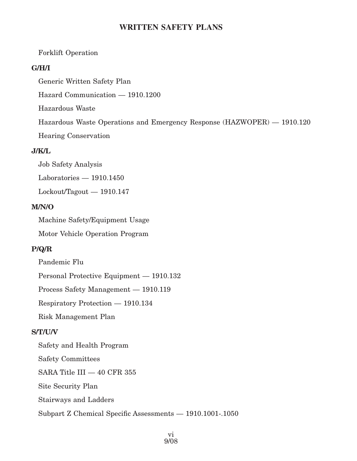#### Forklift Operation

#### **G/H/I**

Generic Written Safety Plan

Hazard Communication — 1910.1200

Hazardous Waste

Hazardous Waste Operations and Emergency Response (HAZWOPER) — 1910.120

Hearing Conservation

#### **J/K/L**

Job Safety Analysis Laboratories — 1910.1450

Lockout/Tagout — 1910.147

#### **M/N/O**

Machine Safety/Equipment Usage

Motor Vehicle Operation Program

#### **P/Q/R**

Pandemic Flu

Personal Protective Equipment — 1910.132

Process Safety Management — 1910.119

Respiratory Protection — 1910.134

Risk Management Plan

#### **S/T/U/V**

Safety and Health Program

Safety Committees

SARA Title III — 40 CFR 355

Site Security Plan

Stairways and Ladders

Subpart Z Chemical Specific Assessments — 1910.1001-.1050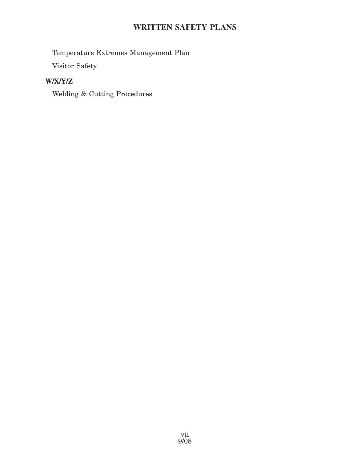Temperature Extremes Management Plan

Visitor Safety

## **W/X/Y/Z**

Welding & Cutting Procedures